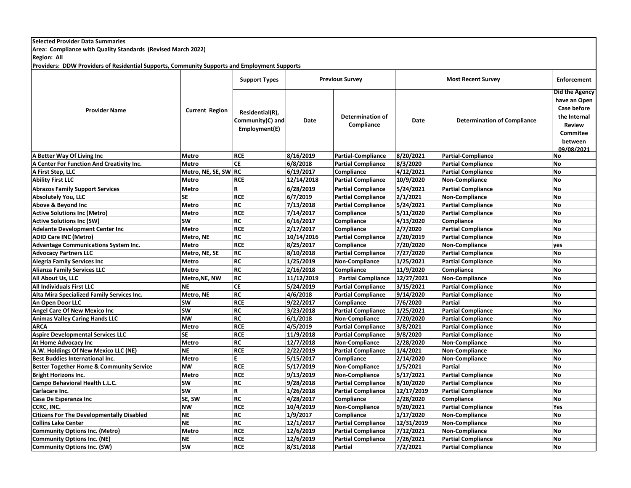**Selected Provider Data Summaries**

**Area: Compliance with Quality Standards (Revised March 2022)**

**Region: All**

**Providers: DDW Providers of Residential Supports, Community Supports and Employment Supports**

| <b>Provider Name</b>                                |                       | <b>Support Types</b>                                 | <b>Previous Survey</b> |                                       | <b>Most Recent Survey</b> |                                    | <b>Enforcement</b>                                                                                                         |
|-----------------------------------------------------|-----------------------|------------------------------------------------------|------------------------|---------------------------------------|---------------------------|------------------------------------|----------------------------------------------------------------------------------------------------------------------------|
|                                                     | <b>Current Region</b> | Residential(R),<br>Community(C) and<br>Employment(E) | Date                   | <b>Determination of</b><br>Compliance | Date                      | <b>Determination of Compliance</b> | Did the Agency<br>have an Open<br>Case before<br>the Internal<br><b>Review</b><br><b>Commitee</b><br>between<br>09/08/2021 |
| A Better Way Of Living Inc                          | Metro                 | <b>RCE</b>                                           | 8/16/2019              | <b>Partial-Compliance</b>             | 8/20/2021                 | <b>Partial-Compliance</b>          | No                                                                                                                         |
| <b>A Center For Function And Creativity Inc.</b>    | Metro                 | <b>CE</b>                                            | 6/8/2018               | <b>Partial Compliance</b>             | 8/3/2020                  | <b>Partial Compliance</b>          | <b>No</b>                                                                                                                  |
| A First Step, LLC                                   | Metro, NE, SE, SW RC  |                                                      | 6/19/2017              | Compliance                            | 4/12/2021                 | <b>Partial Compliance</b>          | <b>No</b>                                                                                                                  |
| <b>Ability First LLC</b>                            | <b>Metro</b>          | <b>RCE</b>                                           | 12/14/2018             | <b>Partial Compliance</b>             | 10/9/2020                 | <b>Non-Compliance</b>              | <b>No</b>                                                                                                                  |
| <b>Abrazos Family Support Services</b>              | Metro                 | R                                                    | 6/28/2019              | <b>Partial Compliance</b>             | 5/24/2021                 | <b>Partial Compliance</b>          | <b>No</b>                                                                                                                  |
| <b>Absolutely You, LLC</b>                          | <b>SE</b>             | <b>RCF</b>                                           | 6/7/2019               | <b>Partial Compliance</b>             | 2/1/2021                  | <b>Non-Compliance</b>              | <b>No</b>                                                                                                                  |
| Above & Beyond Inc                                  | Metro                 | <b>RC</b>                                            | 7/13/2018              | <b>Partial Compliance</b>             | 5/24/2021                 | <b>Partial Compliance</b>          | <b>No</b>                                                                                                                  |
| <b>Active Solutions Inc (Metro)</b>                 | Metro                 | <b>RCE</b>                                           | 7/14/2017              | Compliance                            | 5/11/2020                 | <b>Partial Compliance</b>          | <b>No</b>                                                                                                                  |
| <b>Active Solutions Inc (SW)</b>                    | <b>SW</b>             | <b>RC</b>                                            | 6/16/2017              | Compliance                            | 4/13/2020                 | Compliance                         | <b>No</b>                                                                                                                  |
| <b>Adelante Development Center Inc</b>              | Metro                 | <b>RCE</b>                                           | 2/17/2017              | Compliance                            | 2/7/2020                  | <b>Partial Compliance</b>          | <b>No</b>                                                                                                                  |
| <b>ADID Care INC (Metro)</b>                        | Metro, NE             | <b>RC</b>                                            | 10/14/2016             | <b>Partial Compliance</b>             | 2/20/2019                 | <b>Partial Compliance</b>          | <b>No</b>                                                                                                                  |
| <b>Advantage Communications System Inc.</b>         | <b>Metro</b>          | <b>RCE</b>                                           | 8/25/2017              | Compliance                            | 7/20/2020                 | <b>Non-Compliance</b>              | yes                                                                                                                        |
| <b>Advocacy Partners LLC</b>                        | Metro, NE, SE         | <b>RC</b>                                            | 8/10/2018              | <b>Partial Compliance</b>             | 7/27/2020                 | <b>Partial Compliance</b>          | <b>No</b>                                                                                                                  |
| <b>Alegria Family Services Inc</b>                  | Metro                 | <b>RC</b>                                            | 1/25/2019              | <b>Non-Compliance</b>                 | 1/25/2021                 | <b>Partial Compliance</b>          | <b>No</b>                                                                                                                  |
| <b>Alianza Family Services LLC</b>                  | <b>Metro</b>          | <b>RC</b>                                            | 2/16/2018              | Compliance                            | 11/9/2020                 | Compliance                         | <b>No</b>                                                                                                                  |
| All About Us. LLC                                   | Metro, NE, NW         | <b>RC</b>                                            | 11/12/2019             | <b>Partial Compliance</b>             | 12/27/2021                | Non-Compliance                     | <b>No</b>                                                                                                                  |
| <b>All Individuals First LLC</b>                    | <b>NE</b>             | <b>CE</b>                                            | 5/24/2019              | <b>Partial Compliance</b>             | 3/15/2021                 | <b>Partial Compliance</b>          | <b>No</b>                                                                                                                  |
| Alta Mira Specialized Family Services Inc.          | Metro, NE             | <b>RC</b>                                            | 4/6/2018               | <b>Partial Compliance</b>             | 9/14/2020                 | <b>Partial Compliance</b>          | <b>No</b>                                                                                                                  |
| An Open Door LLC                                    | SW                    | <b>RCF</b>                                           | 9/22/2017              | Compliance                            | 7/6/2020                  | <b>Partial</b>                     | <b>No</b>                                                                                                                  |
| <b>Angel Care Of New Mexico Inc</b>                 | <b>SW</b>             | <b>RC</b>                                            | 3/23/2018              | <b>Partial Compliance</b>             | 1/25/2021                 | <b>Partial Compliance</b>          | <b>No</b>                                                                                                                  |
| <b>Animas Valley Caring Hands LLC</b>               | <b>NW</b>             | <b>RC</b>                                            | 6/1/2018               | <b>Non-Compliance</b>                 | 7/20/2020                 | <b>Partial Compliance</b>          | <b>No</b>                                                                                                                  |
| <b>ARCA</b>                                         | Metro                 | <b>RCE</b>                                           | 4/5/2019               | <b>Partial Compliance</b>             | 3/8/2021                  | <b>Partial Compliance</b>          | <b>No</b>                                                                                                                  |
| <b>Aspire Developmental Services LLC</b>            | <b>SE</b>             | <b>RCF</b>                                           | 11/9/2018              | <b>Partial Compliance</b>             | 9/8/2020                  | <b>Partial Compliance</b>          | <b>No</b>                                                                                                                  |
| At Home Advocacy Inc                                | Metro                 | <b>RC</b>                                            | 12/7/2018              | <b>Non-Compliance</b>                 | 2/28/2020                 | <b>Non-Compliance</b>              | <b>No</b>                                                                                                                  |
| A.W. Holdings Of New Mexico LLC (NE)                | <b>NE</b>             | <b>RCE</b>                                           | 2/22/2019              | <b>Partial Compliance</b>             | 1/4/2021                  | <b>Non-Compliance</b>              | <b>No</b>                                                                                                                  |
| <b>Best Buddies International Inc.</b>              | Metro                 | F                                                    | 5/15/2017              | Compliance                            | 2/14/2020                 | <b>Non-Compliance</b>              | <b>No</b>                                                                                                                  |
| <b>Better Together Home &amp; Community Service</b> | <b>NW</b>             | <b>RCE</b>                                           | 5/17/2019              | <b>Non-Compliance</b>                 | 1/5/2021                  | <b>Partial</b>                     | <b>No</b>                                                                                                                  |
| <b>Bright Horizons Inc.</b>                         | Metro                 | <b>RCF</b>                                           | 9/13/2019              | <b>Non-Compliance</b>                 | 5/17/2021                 | <b>Partial Compliance</b>          | <b>No</b>                                                                                                                  |
| Campo Behavioral Health L.L.C.                      | SW                    | <b>RC</b>                                            | 9/28/2018              | <b>Partial Compliance</b>             | 8/10/2020                 | <b>Partial Compliance</b>          | <b>No</b>                                                                                                                  |
| Carlacare Inc.                                      | <b>SW</b>             | R                                                    | 1/26/2018              | <b>Partial Compliance</b>             | 12/17/2019                | <b>Partial Compliance</b>          | <b>No</b>                                                                                                                  |
| Casa De Esperanza Inc                               | SE, SW                | $\overline{\text{RC}}$                               | 4/28/2017              | Compliance                            | $\sqrt{2}/28/2020$        | Compliance                         | <b>No</b>                                                                                                                  |
| CCRC, INC.                                          | <b>NW</b>             | <b>RCE</b>                                           | 10/4/2019              | <b>Non-Compliance</b>                 | 9/20/2021                 | <b>Partial Compliance</b>          | Yes                                                                                                                        |
| <b>Citizens For The Developmentally Disabled</b>    | <b>NE</b>             | <b>RC</b>                                            | 1/9/2017               | Compliance                            | 1/17/2020                 | <b>Non-Compliance</b>              | <b>No</b>                                                                                                                  |
| <b>Collins Lake Center</b>                          | <b>NE</b>             | <b>RC</b>                                            | 12/1/2017              | <b>Partial Compliance</b>             | 12/31/2019                | Non-Compliance                     | <b>No</b>                                                                                                                  |
| <b>Community Options Inc. (Metro)</b>               | Metro                 | <b>RCF</b>                                           | 12/6/2019              | <b>Partial Compliance</b>             | 7/12/2021                 | <b>Non-Compliance</b>              | <b>No</b>                                                                                                                  |
| <b>Community Options Inc. (NE)</b>                  | <b>NE</b>             | <b>RCE</b>                                           | 12/6/2019              | <b>Partial Compliance</b>             | 7/26/2021                 | <b>Partial Compliance</b>          | <b>No</b>                                                                                                                  |
| <b>Community Options Inc. (SW)</b>                  | SW                    | <b>RCE</b>                                           | 8/31/2018              | Partial                               | 7/2/2021                  | <b>Partial Compliance</b>          | <b>No</b>                                                                                                                  |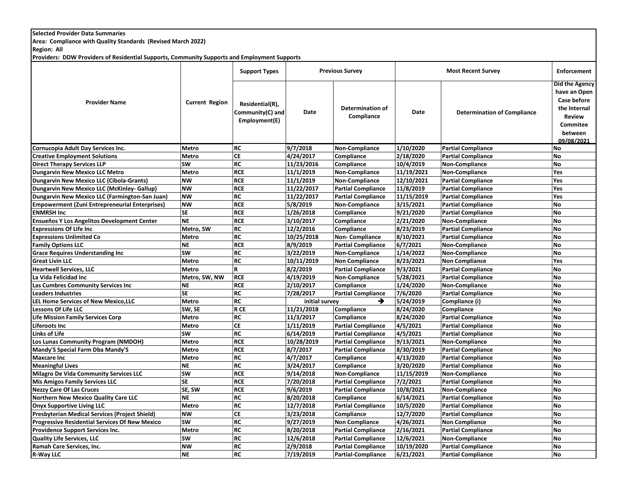## **Selected Provider Data Summaries**

**Area: Compliance with Quality Standards (Revised March 2022)**

**Region: All**

**Providers: DDW Providers of Residential Supports, Community Supports and Employment Supports**

|                                                       |                       | <b>Support Types</b>                                 | <b>Previous Survey</b> |                                       |            | <b>Enforcement</b>                 |                                                                                                              |
|-------------------------------------------------------|-----------------------|------------------------------------------------------|------------------------|---------------------------------------|------------|------------------------------------|--------------------------------------------------------------------------------------------------------------|
| <b>Provider Name</b>                                  | <b>Current Region</b> | Residential(R),<br>Community(C) and<br>Employment(E) | Date                   | <b>Determination of</b><br>Compliance | Date       | <b>Determination of Compliance</b> | Did the Agency<br>have an Open<br>Case before<br>the Internal<br><b>Review</b><br><b>Commitee</b><br>between |
|                                                       |                       |                                                      |                        |                                       |            |                                    | 09/08/2021                                                                                                   |
| Cornucopia Adult Day Services Inc.                    | <b>Metro</b>          | <b>RC</b>                                            | 9/7/2018               | <b>Non-Compliance</b>                 | 1/10/2020  | <b>Partial Compliance</b>          | No                                                                                                           |
| <b>Creative Employment Solutions</b>                  | Metro                 | <b>CE</b>                                            | 4/24/2017              | <b>Compliance</b>                     | 2/18/2020  | <b>Partial Compliance</b>          | <b>No</b>                                                                                                    |
| <b>Direct Therapy Services LLP</b>                    | <b>SW</b>             | <b>RC</b>                                            | 11/23/2016             | Compliance                            | 10/4/2019  | <b>Non-Compliance</b>              | <b>No</b>                                                                                                    |
| <b>Dungarvin New Mexico LLC Metro</b>                 | Metro                 | <b>RCF</b>                                           | 11/1/2019              | Non-Compliance                        | 11/19/2021 | Non-Compliance                     | Yes                                                                                                          |
| <b>Dungarvin New Mexico LLC (Cibola-Grants)</b>       | <b>NW</b>             | <b>RCF</b>                                           | 11/1/2019              | Non-Compliance                        | 12/10/2021 | <b>Partial Compliance</b>          | Yes                                                                                                          |
| Dungarvin New Mexico LLC (McKinley-Gallup)            | <b>NW</b>             | <b>RCF</b>                                           | 11/22/2017             | <b>Partial Compliance</b>             | 11/8/2019  | <b>Partial Compliance</b>          | Yes                                                                                                          |
| Dungarvin New Mexico LLC (Farmington-San Juan)        | <b>NW</b>             | <b>RC</b>                                            | 11/22/2017             | <b>Partial Compliance</b>             | 11/15/2019 | <b>Partial Compliance</b>          | Yes                                                                                                          |
| <b>Empowerment (Zuni Entrepreneurial Enterprises)</b> | <b>NW</b>             | <b>RCE</b>                                           | 5/8/2019               | Non-Compliance                        | 3/15/2021  | <b>Partial Compliance</b>          | <b>No</b>                                                                                                    |
| <b>ENMRSH Inc</b>                                     | <b>SE</b>             | <b>RCE</b>                                           | 1/26/2018              | Compliance                            | 9/21/2020  | <b>Partial Compliance</b>          | <b>No</b>                                                                                                    |
| <b>Ensueños Y Los Angelitos Development Center</b>    | <b>NE</b>             | <b>RCE</b>                                           | 3/10/2017              | Compliance                            | 2/21/2020  | Non-Compliance                     | <b>No</b>                                                                                                    |
| <b>Expressions Of Life Inc</b>                        | Metro, SW             | <b>RC</b>                                            | 12/2/2016              | Compliance                            | 8/23/2019  | <b>Partial Compliance</b>          | <b>No</b>                                                                                                    |
| <b>Expressions Unlimited Co</b>                       | <b>Metro</b>          | <b>RC</b>                                            | 10/25/2018             | Non-Compliance                        | 8/10/2021  | <b>Partial Compliance</b>          | <b>No</b>                                                                                                    |
| <b>Family Options LLC</b>                             | <b>NE</b>             | <b>RCE</b>                                           | 8/9/2019               | <b>Partial Compliance</b>             | 6/7/2021   | <b>Non-Compliance</b>              | <b>No</b>                                                                                                    |
| <b>Grace Requires Understanding Inc</b>               | <b>SW</b>             | <b>RC</b>                                            | 3/22/2019              | Non-Compliance                        | 1/14/2022  | <b>Non-Compliance</b>              | <b>No</b>                                                                                                    |
| <b>Great Livin LLC</b>                                | <b>Metro</b>          | <b>RC</b>                                            | 10/11/2019             | <b>Non Compliance</b>                 | 8/23/2021  | <b>Non Compliance</b>              | Yes                                                                                                          |
| <b>Heartwell Services, LLC</b>                        | <b>Metro</b>          | $\mathbf R$                                          | 8/2/2019               | <b>Partial Compliance</b>             | 9/3/2021   | <b>Partial Compliance</b>          | <b>No</b>                                                                                                    |
| La Vida Felicidad Inc                                 | Metro, SW, NW         | <b>RCF</b>                                           | 4/19/2019              | Non-Compliance                        | 5/28/2021  | <b>Partial Compliance</b>          | <b>No</b>                                                                                                    |
| Las Cumbres Community Services Inc                    | <b>NE</b>             | <b>RCE</b>                                           | 2/10/2017              | Compliance                            | 1/24/2020  | <b>Non-Compliance</b>              | <b>No</b>                                                                                                    |
| <b>Leaders Industries</b>                             | <b>SE</b>             | <b>RC</b>                                            | 7/28/2017              | <b>Partial Compliance</b>             | 7/6/2020   | <b>Partial Compliance</b>          | <b>No</b>                                                                                                    |
| <b>LEL Home Services of New Mexico, LLC</b>           | <b>Metro</b>          | <b>RC</b>                                            | initial survey         |                                       | 5/24/2019  | Compliance (i)                     | <b>No</b>                                                                                                    |
| <b>Lessons Of Life LLC</b>                            | SW, SE                | R CE                                                 | 11/21/2018             | Compliance                            | 8/24/2020  | Compliance                         | <b>No</b>                                                                                                    |
| <b>Life Mission Family Services Corp</b>              | <b>Metro</b>          | <b>RC</b>                                            | 11/3/2017              | Compliance                            | 8/24/2020  | <b>Partial Compliance</b>          | <b>No</b>                                                                                                    |
| <b>Liferoots Inc</b>                                  | <b>Metro</b>          | $\overline{c}$                                       | 1/11/2019              | <b>Partial Compliance</b>             | 4/5/2021   | <b>Partial Compliance</b>          | <b>No</b>                                                                                                    |
| <b>Links of Life</b>                                  | SW                    | <b>RC</b>                                            | 6/14/2019              | <b>Partial Compliance</b>             | 4/5/2021   | <b>Partial Compliance</b>          | <b>No</b>                                                                                                    |
| Los Lunas Community Program (NMDOH)                   | <b>Metro</b>          | <b>RCE</b>                                           | 10/28/2019             | <b>Partial Compliance</b>             | 9/13/2021  | <b>Non-Compliance</b>              | <b>No</b>                                                                                                    |
| Mandy'S Special Farm Dba Mandy'S                      | <b>Metro</b>          | <b>RCE</b>                                           | 8/7/2017               | <b>Partial Compliance</b>             | 8/30/2019  | <b>Partial Compliance</b>          | <b>No</b>                                                                                                    |
| <b>Maxcare Inc</b>                                    | <b>Metro</b>          | <b>RC</b>                                            | 4/7/2017               | Compliance                            | 4/13/2020  | <b>Partial Compliance</b>          | <b>No</b>                                                                                                    |
| <b>Meaningful Lives</b>                               | <b>NE</b>             | <b>RC</b>                                            | 3/24/2017              | Compliance                            | 3/20/2020  | <b>Partial Compliance</b>          | <b>No</b>                                                                                                    |
| <b>Milagro De Vida Community Services LLC</b>         | <b>SW</b>             | <b>RCE</b>                                           | 9/14/2018              | Non-Compliance                        | 11/15/2019 | <b>Non-Compliance</b>              | <b>No</b>                                                                                                    |
| <b>Mis Amigos Family Services LLC</b>                 | <b>SE</b>             | <b>RCE</b>                                           | 7/20/2018              | <b>Partial Compliance</b>             | 7/2/2021   | <b>Partial Compliance</b>          | <b>No</b>                                                                                                    |
| <b>Nezzy Care Of Las Cruces</b>                       | SE, SW                | <b>RCE</b>                                           | 9/6/2019               | <b>Partial Compliance</b>             | 10/8/2021  | <b>Non-Compliance</b>              | <b>No</b>                                                                                                    |
| <b>Northern New Mexico Quality Care LLC</b>           | <b>NE</b>             | <b>RC</b>                                            | 8/20/2018              | Compliance                            | 6/14/2021  | <b>Partial Compliance</b>          | <b>No</b>                                                                                                    |
| <b>Onyx Supportive Living LLC</b>                     | <b>Metro</b>          | <b>RC</b>                                            | 12/7/2018              | <b>Partial Compliance</b>             | 10/5/2020  | <b>Partial Compliance</b>          | <b>No</b>                                                                                                    |
| <b>Presbyterian Medical Services (Project Shield)</b> | <b>NW</b>             | <b>CE</b>                                            | 3/23/2018              | Compliance                            | 12/7/2020  | <b>Partial Compliance</b>          | <b>No</b>                                                                                                    |
| <b>Progressive Residential Services Of New Mexico</b> | <b>SW</b>             | <b>RC</b>                                            | 9/27/2019              | <b>Non Compliance</b>                 | 4/26/2021  | <b>Non Compliance</b>              | <b>No</b>                                                                                                    |
| Providence Support Services Inc.                      | <b>Metro</b>          | <b>RC</b>                                            | 8/20/2018              | <b>Partial Compliance</b>             | 2/16/2021  | <b>Partial Compliance</b>          | <b>No</b>                                                                                                    |
| <b>Quality Life Services, LLC</b>                     | <b>SW</b>             | <b>RC</b>                                            | 12/6/2018              | <b>Partial Compliance</b>             | 12/6/2021  | <b>Non-Compliance</b>              | <b>No</b>                                                                                                    |
| Ramah Care Services, Inc.                             | <b>NW</b>             | <b>RC</b>                                            | 2/9/2018               | <b>Partial Compliance</b>             | 10/19/2020 | <b>Partial Compliance</b>          | <b>No</b>                                                                                                    |
| R-Way LLC                                             | <b>NE</b>             | <b>RC</b>                                            | 7/19/2019              | <b>Partial-Compliance</b>             | 6/21/2021  | <b>Partial Compliance</b>          | <b>No</b>                                                                                                    |
|                                                       |                       |                                                      |                        |                                       |            |                                    |                                                                                                              |